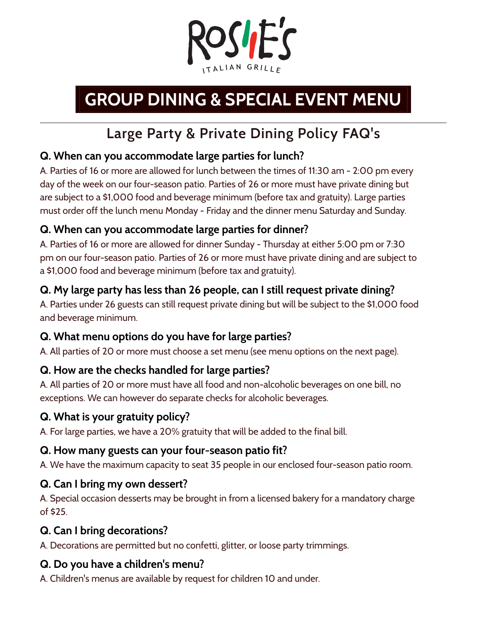

# **GROUP DINING & SPECIAL EVENT MENU**

## **Large Party & Private Dining Policy FAQ's**

#### **Q. When can you accommodate large parties for lunch?**

A. Parties of 16 or more are allowed for lunch between the times of 11:30 am - 2:00 pm every day of the week on our four-season patio. Parties of 26 or more must have private dining but are subject to a \$1,000 food and beverage minimum (before tax and gratuity). Large parties must order off the lunch menu Monday - Friday and the dinner menu Saturday and Sunday.

#### **Q. When can you accommodate large parties for dinner?**

A. Parties of 16 or more are allowed for dinner Sunday - Thursday at either 5:00 pm or 7:30 pm on our four-season patio. Parties of 26 or more must have private dining and are subject to a \$1,000 food and beverage minimum (before tax and gratuity).

#### **Q. My large party has less than 26 people, can I still request private dining?**

A. Parties under 26 guests can still request private dining but will be subject to the \$1,000 food and beverage minimum.

#### **Q. What menu options do you have for large parties?**

A. All parties of 20 or more must choose a set menu (see menu options on the next page).

#### **Q. How are the checks handled for large parties?**

A. All parties of 20 or more must have all food and non-alcoholic beverages on one bill, no exceptions. We can however do separate checks for alcoholic beverages.

#### **Q. What is your gratuity policy?**

A. For large parties, we have a 20% gratuity that will be added to the final bill.

#### **Q. How many guests can your four-season patio fit?**

A. We have the maximum capacity to seat 35 people in our enclosed four-season patio room.

#### **Q. Can I bring my own dessert?**

A. Special occasion desserts may be brought in from a licensed bakery for a mandatory charge of \$25.

#### **Q. Can I bring decorations?**

A. Decorations are permitted but no confetti, glitter, or loose party trimmings.

#### **Q. Do you have a children's menu?**

A. Children's menus are available by request for children 10 and under.